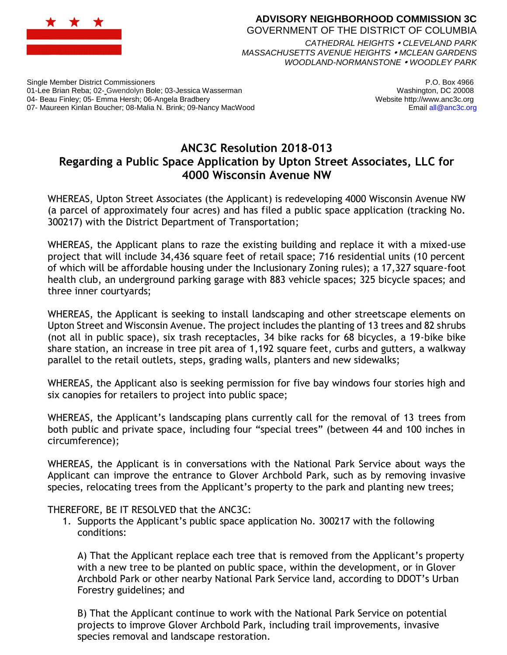

## **ADVISORY NEIGHBORHOOD COMMISSION 3C** GOVERNMENT OF THE DISTRICT OF COLUMBIA *CATHEDRAL HEIGHTS CLEVELAND PARK MASSACHUSETTS AVENUE HEIGHTS MCLEAN GARDENS*

*WOODLAND-NORMANSTONE WOODLEY PARK*

Single Member District Commissioners 01-Lee Brian Reba; 02- Gwendolyn Bole; 03-Jessica Wasserman 04- Beau Finley; 05- Emma Hersh; 06-Angela Bradbery 07- Maureen Kinlan Boucher; 08-Malia N. Brink; 09-Nancy MacWood

P.O. Box 4966 Washington, DC 20008 Website http://www.anc3c.org Email all@anc3c.org

## **ANC3C Resolution 2018-013 Regarding a Public Space Application by Upton Street Associates, LLC for 4000 Wisconsin Avenue NW**

WHEREAS, Upton Street Associates (the Applicant) is redeveloping 4000 Wisconsin Avenue NW (a parcel of approximately four acres) and has filed a public space application (tracking No. 300217) with the District Department of Transportation;

WHEREAS, the Applicant plans to raze the existing building and replace it with a mixed-use project that will include 34,436 square feet of retail space; 716 residential units (10 percent of which will be affordable housing under the Inclusionary Zoning rules); a 17,327 square-foot health club, an underground parking garage with 883 vehicle spaces; 325 bicycle spaces; and three inner courtyards;

WHEREAS, the Applicant is seeking to install landscaping and other streetscape elements on Upton Street and Wisconsin Avenue. The project includes the planting of 13 trees and 82 shrubs (not all in public space), six trash receptacles, 34 bike racks for 68 bicycles, a 19-bike bike share station, an increase in tree pit area of 1,192 square feet, curbs and gutters, a walkway parallel to the retail outlets, steps, grading walls, planters and new sidewalks;

WHEREAS, the Applicant also is seeking permission for five bay windows four stories high and six canopies for retailers to project into public space;

WHEREAS, the Applicant's landscaping plans currently call for the removal of 13 trees from both public and private space, including four "special trees" (between 44 and 100 inches in circumference);

WHEREAS, the Applicant is in conversations with the National Park Service about ways the Applicant can improve the entrance to Glover Archbold Park, such as by removing invasive species, relocating trees from the Applicant's property to the park and planting new trees;

THEREFORE, BE IT RESOLVED that the ANC3C:

1. Supports the Applicant's public space application No. 300217 with the following conditions:

A) That the Applicant replace each tree that is removed from the Applicant's property with a new tree to be planted on public space, within the development, or in Glover Archbold Park or other nearby National Park Service land, according to DDOT's Urban Forestry guidelines; and

B) That the Applicant continue to work with the National Park Service on potential projects to improve Glover Archbold Park, including trail improvements, invasive species removal and landscape restoration.